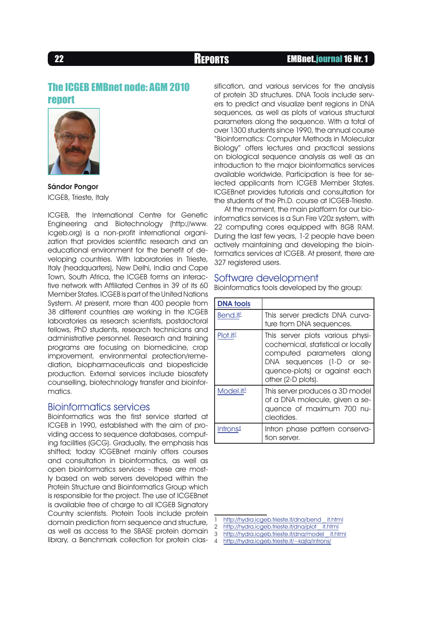## The ICGEB EMBnet node: AGM 2010 report



Sándor Pongor ICGEB, Trieste, Italy

ICGEB, the International Centre for Genetic Engineering and Biotechnology (http://www. icgeb.org) is a non-profit international organization that provides scientific research and an educational environment for the benefit of developing countries. With laboratories in Trieste, Italy (headquarters), New Delhi, India and Cape Town, South Africa, the ICGEB forms an interactive network with Affiliated Centres in 39 of its 60 Member States. ICGEB is part of the United Nations System. At present, more than 400 people from 38 different countries are working in the ICGEB laboratories as research scientists, postdoctoral fellows, PhD students, research technicians and administrative personnel. Research and training programs are focusing on biomedicine, crop improvement, environmental protection/remediation, biopharmaceuticals and biopesticide production. External services include biosafety counselling, biotechnology transfer and bioinformatics.

## Bioinformatics services

Bioinformatics was the first service started at ICGEB in 1990, established with the aim of providing access to sequence databases, computing facilities (GCG). Gradually, the emphasis has shifted; today ICGEBnet mainly offers courses and consultation in bioinformatics, as well as open bioinformatics services - these are mostly based on web servers developed within the Protein Structure and Bioinformatics Group which is responsible for the project. The use of ICGEBnet is available free of charge to all ICGEB Signatory Country scientists. Protein Tools include protein domain prediction from sequence and structure, as well as access to the SBASE protein domain library, a Benchmark collection for protein clas- 4

sification, and various services for the analysis of protein 3D structures. DNA Tools include servers to predict and visualize bent regions in DNA sequences, as well as plots of various structural parameters along the sequence. With a total of over 1300 students since 1990, the annual course "Bioinformatics: Computer Methods in Molecular Biology" offers lectures and practical sessions on biological sequence analysis as well as an introduction to the major bioinformatics services available worldwide. Participation is free for selected applicants from ICGEB Member States. ICGEBnet provides tutorials and consultation for the students of the Ph.D. course at ICGEB-Trieste.

At the moment, the main platform for our bioinformatics services is a Sun Fire V20z system, with 22 computing cores equipped with 8GB RAM. During the last few years, 1-2 people have been actively maintaining and developing the bioinformatics services at ICGEB. At present, there are 327 registered users.

## Software development

Bioinformatics tools developed by the group:

| <b>DNA</b> tools      |                                                                                                                                                                                         |
|-----------------------|-----------------------------------------------------------------------------------------------------------------------------------------------------------------------------------------|
| Bend.i <sup>†1</sup>  | This server predicts DNA curva-<br>ture from DNA sequences.                                                                                                                             |
| Plot.it <sup>2</sup>  | This server plots various physi-<br>cochemical, statistical or locally<br>computed parameters along<br>DNA sequences (1-D or se-<br>quence-plots) or against each<br>other (2-D plots). |
| Model.it <sup>3</sup> | This server produces a 3D model<br>of a DNA molecule, given a se-<br>quence of maximum 700 nu-<br>cleotides.                                                                            |
| Introns $4$           | Intron phase pattern conserva-<br>tion server.                                                                                                                                          |

- 2 http://hydra.icgeb.trieste.it/dna/plot it.html<br>3 http://hydra.icgeb.trieste.it/dna/model it.html
- 3 [http://hydra.icgeb.trieste.it/dna/model \\_ it.html](http://hydra.icgeb.trieste.it/dna/model_it.html)
- <http://hydra.icgeb.trieste.it/~kajla/introns/>

<sup>1</sup> [http://hydra.icgeb.trieste.it/dna/bend \\_ it.html](http://hydra.icgeb.trieste.it/dna/bend_it.html)